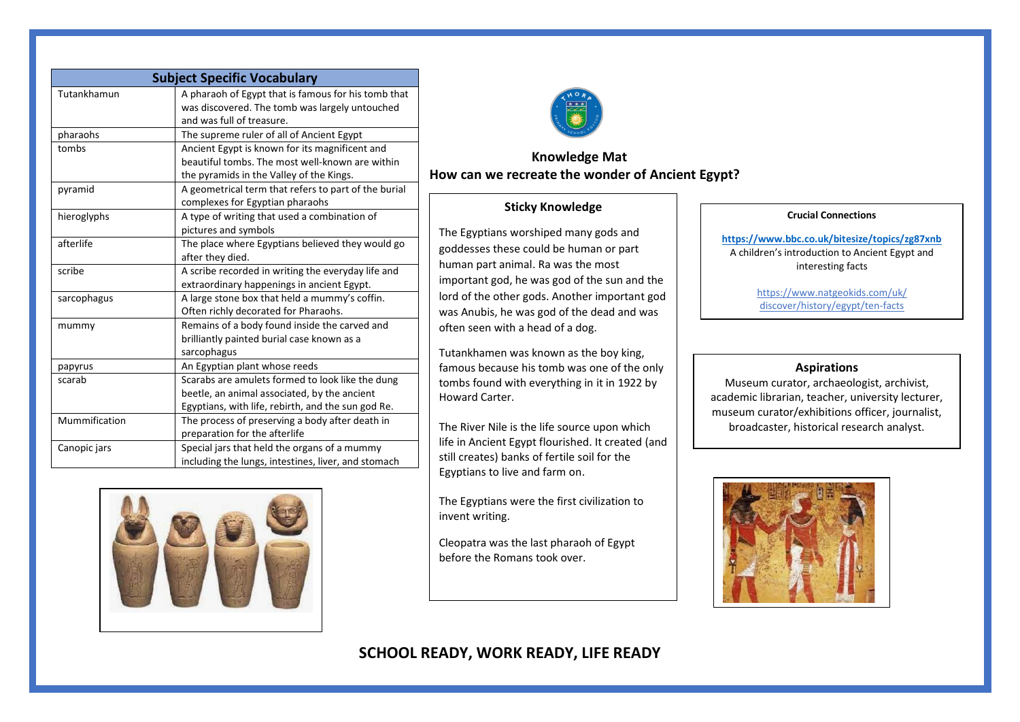| <b>Subject Specific Vocabulary</b> |                                                                                                                                                        |
|------------------------------------|--------------------------------------------------------------------------------------------------------------------------------------------------------|
| Tutankhamun                        | A pharaoh of Egypt that is famous for his tomb that<br>was discovered. The tomb was largely untouched<br>and was full of treasure.                     |
| pharaohs                           | The supreme ruler of all of Ancient Egypt                                                                                                              |
| tombs                              | Ancient Egypt is known for its magnificent and<br>beautiful tombs. The most well-known are within<br>the pyramids in the Valley of the Kings.          |
| pyramid                            | A geometrical term that refers to part of the burial<br>complexes for Egyptian pharaohs                                                                |
| hieroglyphs                        | A type of writing that used a combination of<br>pictures and symbols                                                                                   |
| afterlife                          | The place where Egyptians believed they would go<br>after they died.                                                                                   |
| scribe                             | A scribe recorded in writing the everyday life and<br>extraordinary happenings in ancient Egypt.                                                       |
| sarcophagus                        | A large stone box that held a mummy's coffin.<br>Often richly decorated for Pharaohs.                                                                  |
| mummy                              | Remains of a body found inside the carved and<br>brilliantly painted burial case known as a<br>sarcophagus                                             |
| papyrus                            | An Egyptian plant whose reeds                                                                                                                          |
| scarab                             | Scarabs are amulets formed to look like the dung<br>beetle, an animal associated, by the ancient<br>Egyptians, with life, rebirth, and the sun god Re. |
| Mummification                      | The process of preserving a body after death in<br>preparation for the afterlife                                                                       |
| Canopic jars                       | Special jars that held the organs of a mummy<br>including the lungs, intestines, liver, and stomach                                                    |





## **Knowledge Mat How can we recreate the wonder of Ancient Egypt?**

## **Sticky Knowledge**

The Egyptians worshiped many gods and goddesses these could be human or part human part animal. Ra was the most important god, he was god of the sun and the lord of the other gods. Another important god was Anubis, he was god of the dead and was often seen with a head of a dog.

Tutankhamen was known as the boy king, famous because his tomb was one of the only tombs found with everything in it in 1922 by Howard Carter.

The River Nile is the life source upon which life in Ancient Egypt flourished. It created (and still creates) banks of fertile soil for the Egyptians to live and farm on.

The Egyptians were the first civilization to invent writing.

Cleopatra was the last pharaoh of Egypt before the Romans took over.

### **Crucial Connections**

**<https://www.bbc.co.uk/bitesize/topics/zg87xnb>** A children's introduction to Ancient Egypt and interesting facts

> https://www.natgeokids.com/uk/ discover/history/egypt/ten-facts

### **Aspirations**

Museum curator, archaeologist, archivist, academic librarian, teacher, university lecturer, museum curator/exhibitions officer, journalist, broadcaster, historical research analyst.



# **SCHOOL READY, WORK READY, LIFE READY**